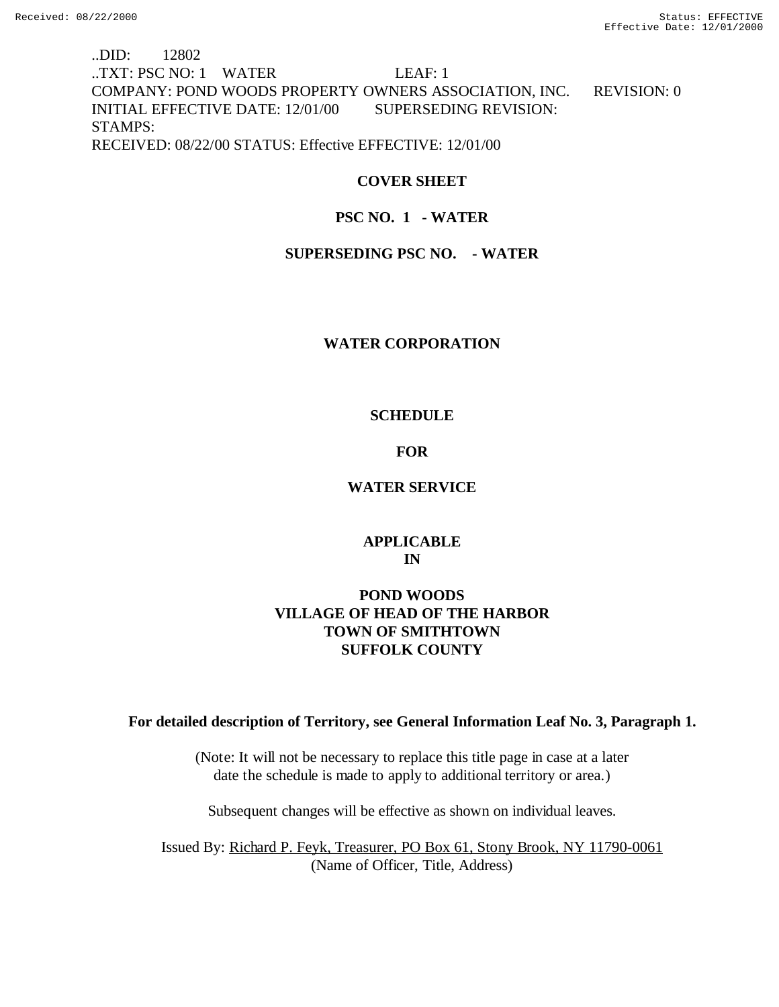# ..DID: 12802 ..TXT: PSC NO: 1 WATER LEAF: 1 COMPANY: POND WOODS PROPERTY OWNERS ASSOCIATION, INC. REVISION: 0 INITIAL EFFECTIVE DATE: 12/01/00 SUPERSEDING REVISION: STAMPS: RECEIVED: 08/22/00 STATUS: Effective EFFECTIVE: 12/01/00

## **COVER SHEET**

## **PSC NO. 1 - WATER**

## **SUPERSEDING PSC NO. - WATER**

### **WATER CORPORATION**

### **SCHEDULE**

## **FOR**

### **WATER SERVICE**

## **APPLICABLE IN**

## **POND WOODS VILLAGE OF HEAD OF THE HARBOR TOWN OF SMITHTOWN SUFFOLK COUNTY**

## **For detailed description of Territory, see General Information Leaf No. 3, Paragraph 1.**

(Note: It will not be necessary to replace this title page in case at a later date the schedule is made to apply to additional territory or area.)

Subsequent changes will be effective as shown on individual leaves.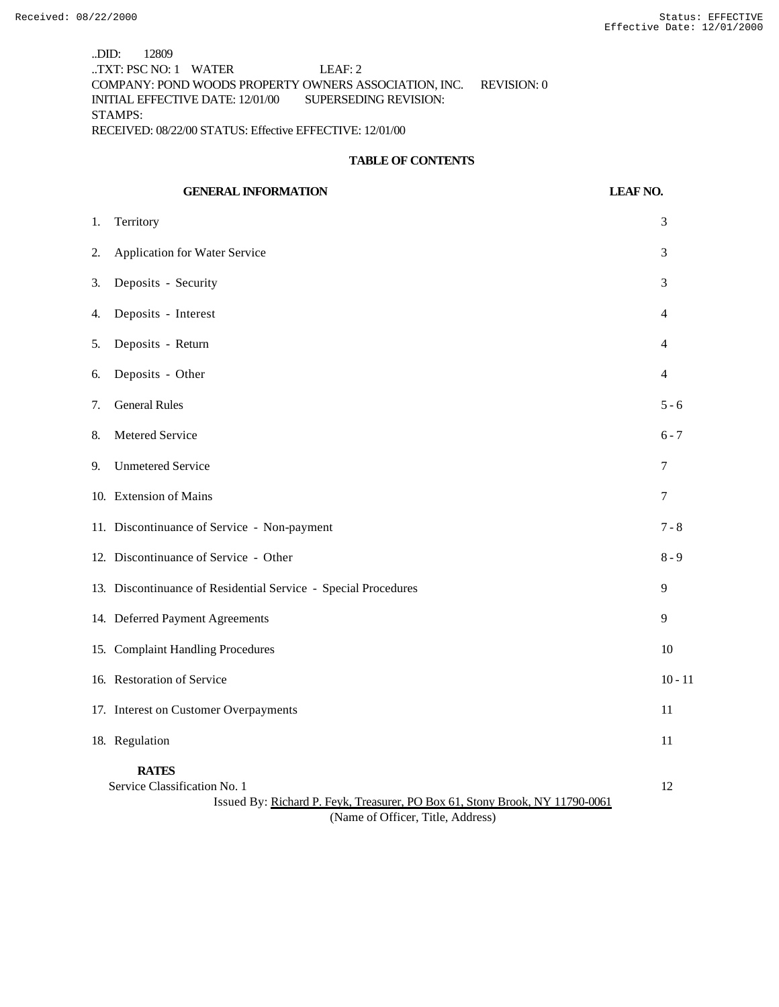..DID: 12809 ..TXT: PSC NO: 1 WATER LEAF: 2 COMPANY: POND WOODS PROPERTY OWNERS ASSOCIATION, INC. REVISION: 0 INITIAL EFFECTIVE DATE: 12/01/00 SUPERSEDING REVISION: STAMPS: RECEIVED: 08/22/00 STATUS: Effective EFFECTIVE: 12/01/00

#### **TABLE OF CONTENTS**

|    | <b>GENERAL INFORMATION</b>                                                                                                   | <b>LEAF NO.</b> |
|----|------------------------------------------------------------------------------------------------------------------------------|-----------------|
| 1. | Territory                                                                                                                    | 3               |
| 2. | Application for Water Service                                                                                                | 3               |
| 3. | Deposits - Security                                                                                                          | 3               |
| 4. | Deposits - Interest                                                                                                          | $\overline{4}$  |
| 5. | Deposits - Return                                                                                                            | 4               |
| 6. | Deposits - Other                                                                                                             | $\overline{4}$  |
| 7. | <b>General Rules</b>                                                                                                         | $5 - 6$         |
| 8. | Metered Service                                                                                                              | $6 - 7$         |
| 9. | <b>Unmetered Service</b>                                                                                                     | 7               |
|    | 10. Extension of Mains                                                                                                       | 7               |
|    | 11. Discontinuance of Service - Non-payment                                                                                  | $7 - 8$         |
|    | 12. Discontinuance of Service - Other                                                                                        | $8 - 9$         |
|    | 13. Discontinuance of Residential Service - Special Procedures                                                               | 9               |
|    | 14. Deferred Payment Agreements                                                                                              | 9               |
|    | 15. Complaint Handling Procedures                                                                                            | 10              |
|    | 16. Restoration of Service                                                                                                   | $10 - 11$       |
|    | 17. Interest on Customer Overpayments                                                                                        | 11              |
|    | 18. Regulation                                                                                                               | 11              |
|    | <b>RATES</b><br>Service Classification No. 1<br>Issued By: Richard P. Feyk, Treasurer, PO Box 61, Stony Brook, NY 11790-0061 | 12              |

(Name of Officer, Title, Address)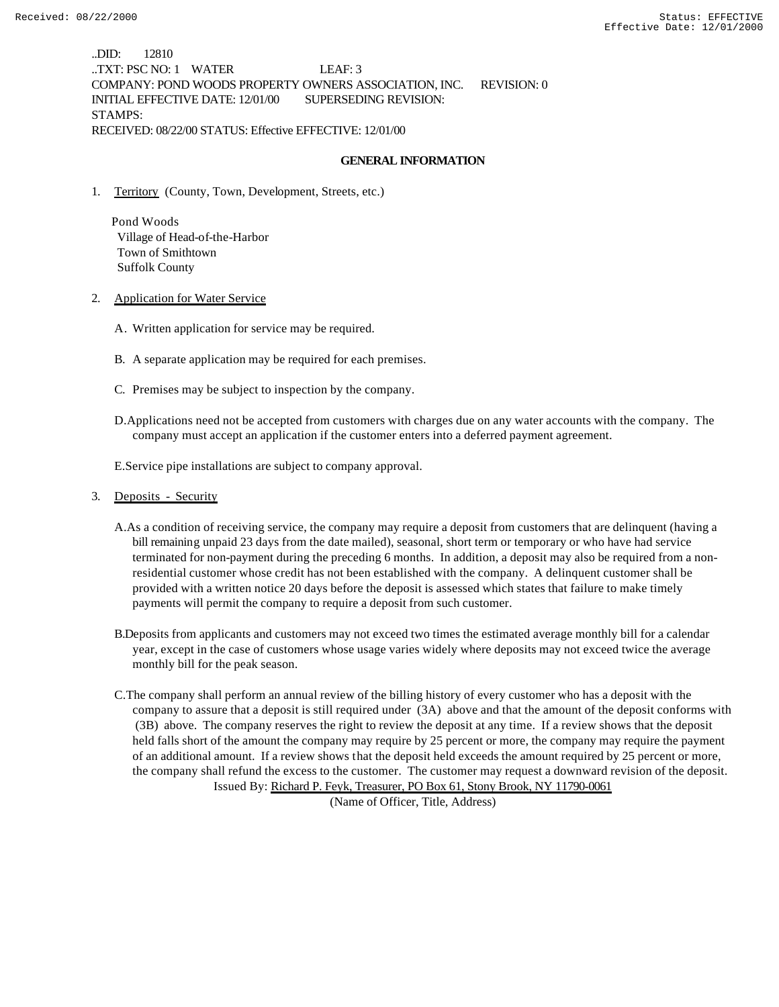..DID: 12810 ..TXT: PSC NO: 1 WATER LEAF: 3 COMPANY: POND WOODS PROPERTY OWNERS ASSOCIATION, INC. REVISION: 0 INITIAL EFFECTIVE DATE: 12/01/00 SUPERSEDING REVISION: STAMPS: RECEIVED: 08/22/00 STATUS: Effective EFFECTIVE: 12/01/00

### **GENERAL INFORMATION**

1. Territory (County, Town, Development, Streets, etc.)

 Pond Woods Village of Head-of-the-Harbor Town of Smithtown Suffolk County

- 2. Application for Water Service
	- A. Written application for service may be required.
	- B. A separate application may be required for each premises.
	- C. Premises may be subject to inspection by the company.
	- D.Applications need not be accepted from customers with charges due on any water accounts with the company. The company must accept an application if the customer enters into a deferred payment agreement.

E.Service pipe installations are subject to company approval.

#### 3. Deposits - Security

- A.As a condition of receiving service, the company may require a deposit from customers that are delinquent (having a bill remaining unpaid 23 days from the date mailed), seasonal, short term or temporary or who have had service terminated for non-payment during the preceding 6 months. In addition, a deposit may also be required from a nonresidential customer whose credit has not been established with the company. A delinquent customer shall be provided with a written notice 20 days before the deposit is assessed which states that failure to make timely payments will permit the company to require a deposit from such customer.
- B.Deposits from applicants and customers may not exceed two times the estimated average monthly bill for a calendar year, except in the case of customers whose usage varies widely where deposits may not exceed twice the average monthly bill for the peak season.
- C.The company shall perform an annual review of the billing history of every customer who has a deposit with the company to assure that a deposit is still required under (3A) above and that the amount of the deposit conforms with (3B) above. The company reserves the right to review the deposit at any time. If a review shows that the deposit held falls short of the amount the company may require by 25 percent or more, the company may require the payment of an additional amount. If a review shows that the deposit held exceeds the amount required by 25 percent or more, the company shall refund the excess to the customer. The customer may request a downward revision of the deposit. Issued By: Richard P. Feyk, Treasurer, PO Box 61, Stony Brook, NY 11790-0061

(Name of Officer, Title, Address)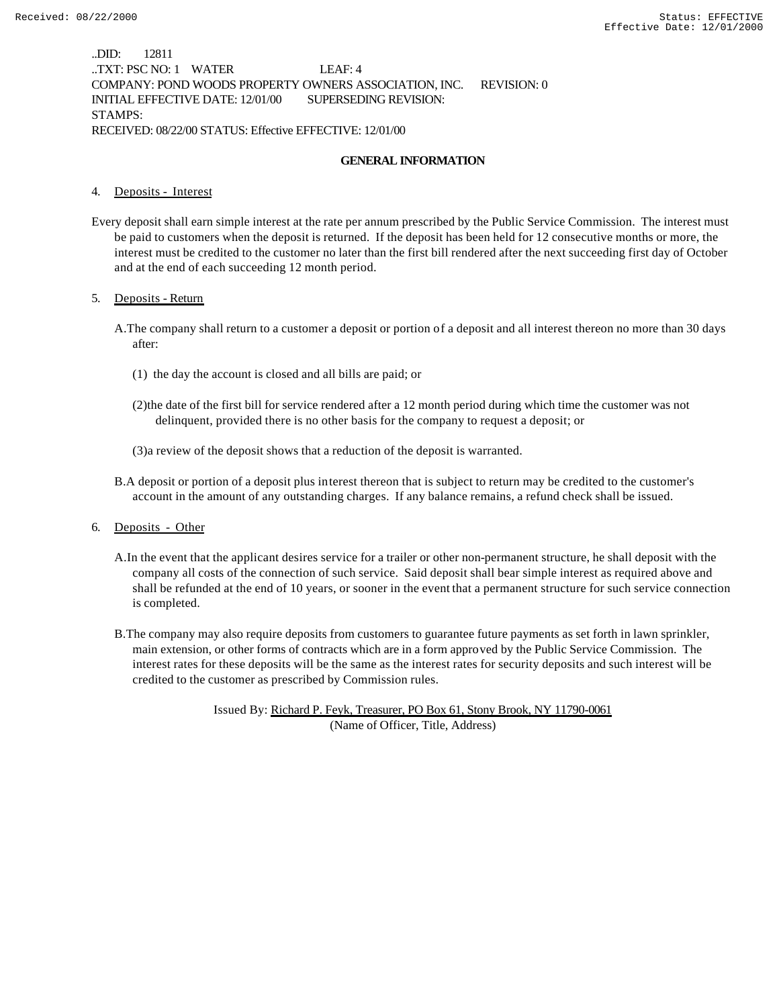..DID: 12811 ..TXT: PSC NO: 1 WATER LEAF: 4 COMPANY: POND WOODS PROPERTY OWNERS ASSOCIATION, INC. REVISION: 0 INITIAL EFFECTIVE DATE: 12/01/00 SUPERSEDING REVISION: STAMPS: RECEIVED: 08/22/00 STATUS: Effective EFFECTIVE: 12/01/00

### **GENERAL INFORMATION**

#### 4. Deposits - Interest

Every deposit shall earn simple interest at the rate per annum prescribed by the Public Service Commission. The interest must be paid to customers when the deposit is returned. If the deposit has been held for 12 consecutive months or more, the interest must be credited to the customer no later than the first bill rendered after the next succeeding first day of October and at the end of each succeeding 12 month period.

#### 5. Deposits - Return

- A.The company shall return to a customer a deposit or portion of a deposit and all interest thereon no more than 30 days after:
	- (1) the day the account is closed and all bills are paid; or
	- (2)the date of the first bill for service rendered after a 12 month period during which time the customer was not delinquent, provided there is no other basis for the company to request a deposit; or
	- (3)a review of the deposit shows that a reduction of the deposit is warranted.
- B.A deposit or portion of a deposit plus interest thereon that is subject to return may be credited to the customer's account in the amount of any outstanding charges. If any balance remains, a refund check shall be issued.
- 6. Deposits Other
	- A.In the event that the applicant desires service for a trailer or other non-permanent structure, he shall deposit with the company all costs of the connection of such service. Said deposit shall bear simple interest as required above and shall be refunded at the end of 10 years, or sooner in the event that a permanent structure for such service connection is completed.
	- B.The company may also require deposits from customers to guarantee future payments as set forth in lawn sprinkler, main extension, or other forms of contracts which are in a form approved by the Public Service Commission. The interest rates for these deposits will be the same as the interest rates for security deposits and such interest will be credited to the customer as prescribed by Commission rules.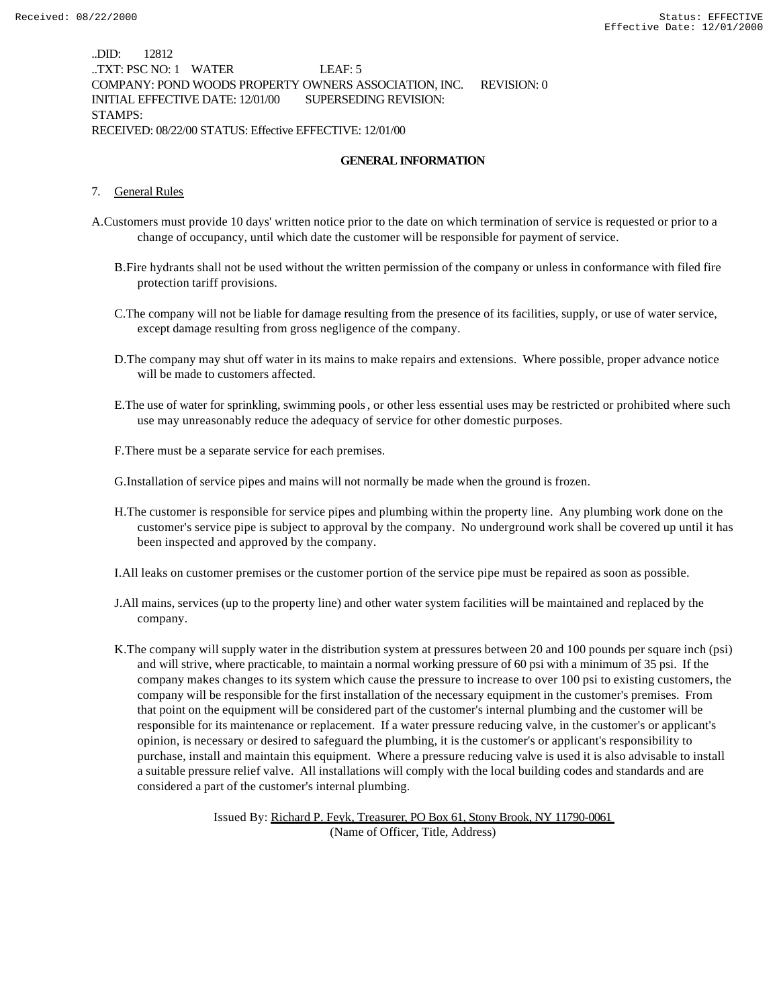..DID: 12812 ..TXT: PSC NO: 1 WATER LEAF: 5 COMPANY: POND WOODS PROPERTY OWNERS ASSOCIATION, INC. REVISION: 0 INITIAL EFFECTIVE DATE: 12/01/00 SUPERSEDING REVISION: STAMPS: RECEIVED: 08/22/00 STATUS: Effective EFFECTIVE: 12/01/00

### **GENERAL INFORMATION**

#### 7. General Rules

- A.Customers must provide 10 days' written notice prior to the date on which termination of service is requested or prior to a change of occupancy, until which date the customer will be responsible for payment of service.
	- B.Fire hydrants shall not be used without the written permission of the company or unless in conformance with filed fire protection tariff provisions.
	- C.The company will not be liable for damage resulting from the presence of its facilities, supply, or use of water service, except damage resulting from gross negligence of the company.
	- D.The company may shut off water in its mains to make repairs and extensions. Where possible, proper advance notice will be made to customers affected.
	- E.The use of water for sprinkling, swimming pools, or other less essential uses may be restricted or prohibited where such use may unreasonably reduce the adequacy of service for other domestic purposes.
	- F.There must be a separate service for each premises.

G.Installation of service pipes and mains will not normally be made when the ground is frozen.

H.The customer is responsible for service pipes and plumbing within the property line. Any plumbing work done on the customer's service pipe is subject to approval by the company. No underground work shall be covered up until it has been inspected and approved by the company.

I.All leaks on customer premises or the customer portion of the service pipe must be repaired as soon as possible.

- J.All mains, services (up to the property line) and other water system facilities will be maintained and replaced by the company.
- K.The company will supply water in the distribution system at pressures between 20 and 100 pounds per square inch (psi) and will strive, where practicable, to maintain a normal working pressure of 60 psi with a minimum of 35 psi. If the company makes changes to its system which cause the pressure to increase to over 100 psi to existing customers, the company will be responsible for the first installation of the necessary equipment in the customer's premises. From that point on the equipment will be considered part of the customer's internal plumbing and the customer will be responsible for its maintenance or replacement. If a water pressure reducing valve, in the customer's or applicant's opinion, is necessary or desired to safeguard the plumbing, it is the customer's or applicant's responsibility to purchase, install and maintain this equipment. Where a pressure reducing valve is used it is also advisable to install a suitable pressure relief valve. All installations will comply with the local building codes and standards and are considered a part of the customer's internal plumbing.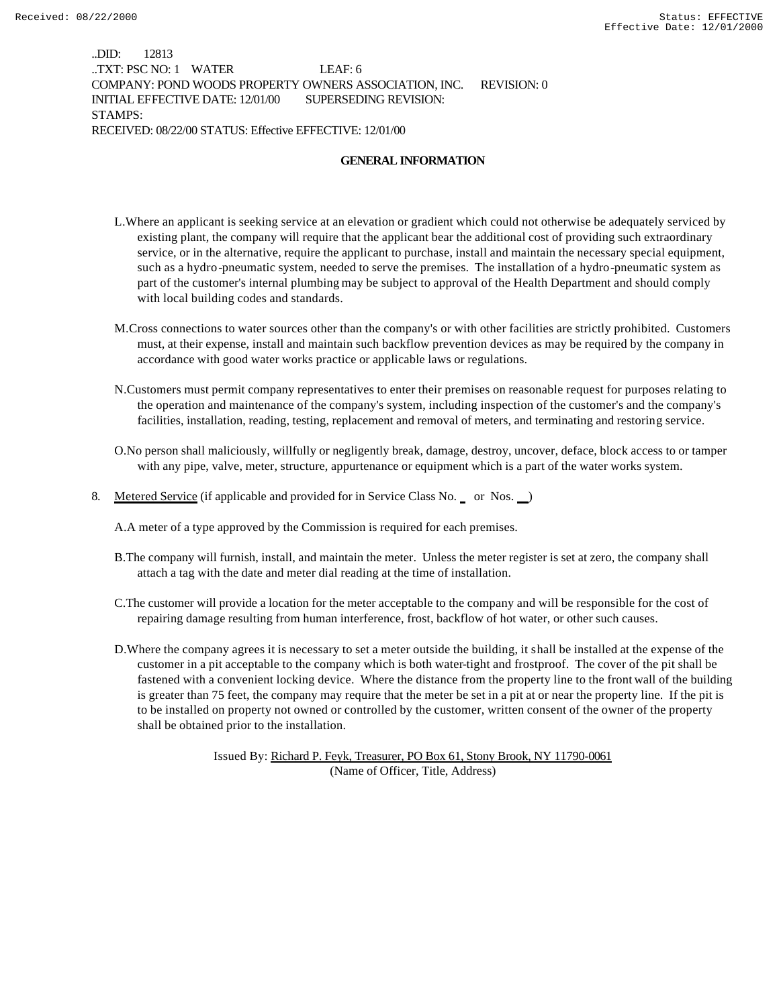..DID: 12813 ..TXT: PSC NO: 1 WATER LEAF: 6 COMPANY: POND WOODS PROPERTY OWNERS ASSOCIATION, INC. REVISION: 0 INITIAL EFFECTIVE DATE: 12/01/00 SUPERSEDING REVISION: STAMPS: RECEIVED: 08/22/00 STATUS: Effective EFFECTIVE: 12/01/00

### **GENERAL INFORMATION**

- L.Where an applicant is seeking service at an elevation or gradient which could not otherwise be adequately serviced by existing plant, the company will require that the applicant bear the additional cost of providing such extraordinary service, or in the alternative, require the applicant to purchase, install and maintain the necessary special equipment, such as a hydro-pneumatic system, needed to serve the premises. The installation of a hydro-pneumatic system as part of the customer's internal plumbing may be subject to approval of the Health Department and should comply with local building codes and standards.
- M.Cross connections to water sources other than the company's or with other facilities are strictly prohibited. Customers must, at their expense, install and maintain such backflow prevention devices as may be required by the company in accordance with good water works practice or applicable laws or regulations.
- N.Customers must permit company representatives to enter their premises on reasonable request for purposes relating to the operation and maintenance of the company's system, including inspection of the customer's and the company's facilities, installation, reading, testing, replacement and removal of meters, and terminating and restoring service.
- O.No person shall maliciously, willfully or negligently break, damage, destroy, uncover, deface, block access to or tamper with any pipe, valve, meter, structure, appurtenance or equipment which is a part of the water works system.
- 8. Metered Service (if applicable and provided for in Service Class No. or Nos. )

A.A meter of a type approved by the Commission is required for each premises.

- B.The company will furnish, install, and maintain the meter. Unless the meter register is set at zero, the company shall attach a tag with the date and meter dial reading at the time of installation.
- C.The customer will provide a location for the meter acceptable to the company and will be responsible for the cost of repairing damage resulting from human interference, frost, backflow of hot water, or other such causes.
- D.Where the company agrees it is necessary to set a meter outside the building, it shall be installed at the expense of the customer in a pit acceptable to the company which is both water-tight and frostproof. The cover of the pit shall be fastened with a convenient locking device. Where the distance from the property line to the front wall of the building is greater than 75 feet, the company may require that the meter be set in a pit at or near the property line. If the pit is to be installed on property not owned or controlled by the customer, written consent of the owner of the property shall be obtained prior to the installation.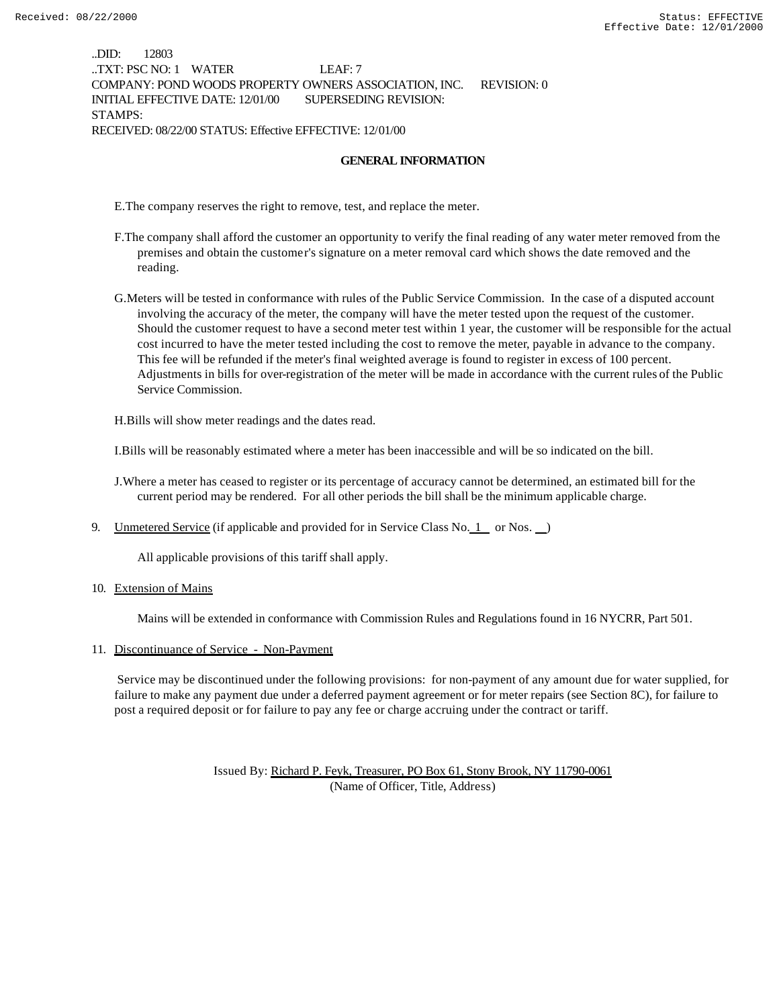..DID: 12803 ..TXT: PSC NO: 1 WATER LEAF: 7 COMPANY: POND WOODS PROPERTY OWNERS ASSOCIATION, INC. REVISION: 0 INITIAL EFFECTIVE DATE: 12/01/00 SUPERSEDING REVISION: STAMPS: RECEIVED: 08/22/00 STATUS: Effective EFFECTIVE: 12/01/00

#### **GENERAL INFORMATION**

E.The company reserves the right to remove, test, and replace the meter.

- F.The company shall afford the customer an opportunity to verify the final reading of any water meter removed from the premises and obtain the customer's signature on a meter removal card which shows the date removed and the reading.
- G.Meters will be tested in conformance with rules of the Public Service Commission. In the case of a disputed account involving the accuracy of the meter, the company will have the meter tested upon the request of the customer. Should the customer request to have a second meter test within 1 year, the customer will be responsible for the actual cost incurred to have the meter tested including the cost to remove the meter, payable in advance to the company. This fee will be refunded if the meter's final weighted average is found to register in excess of 100 percent. Adjustments in bills for over-registration of the meter will be made in accordance with the current rules of the Public Service Commission.

H.Bills will show meter readings and the dates read.

I.Bills will be reasonably estimated where a meter has been inaccessible and will be so indicated on the bill.

J.Where a meter has ceased to register or its percentage of accuracy cannot be determined, an estimated bill for the current period may be rendered. For all other periods the bill shall be the minimum applicable charge.

9. Unmetered Service (if applicable and provided for in Service Class No.  $1$  or Nos.  $\Box$ )

All applicable provisions of this tariff shall apply.

10. Extension of Mains

Mains will be extended in conformance with Commission Rules and Regulations found in 16 NYCRR, Part 501.

#### 11. Discontinuance of Service - Non-Payment

 Service may be discontinued under the following provisions: for non-payment of any amount due for water supplied, for failure to make any payment due under a deferred payment agreement or for meter repairs (see Section 8C), for failure to post a required deposit or for failure to pay any fee or charge accruing under the contract or tariff.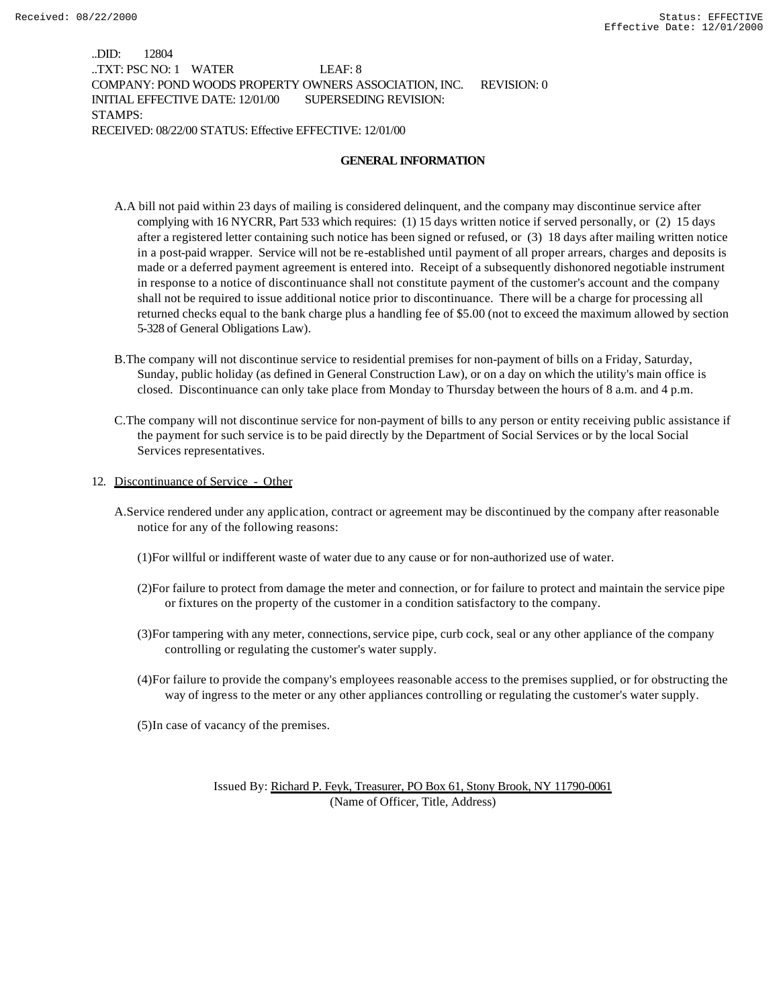..DID: 12804 ..TXT: PSC NO: 1 WATER LEAF: 8 COMPANY: POND WOODS PROPERTY OWNERS ASSOCIATION, INC. REVISION: 0 INITIAL EFFECTIVE DATE: 12/01/00 SUPERSEDING REVISION: STAMPS: RECEIVED: 08/22/00 STATUS: Effective EFFECTIVE: 12/01/00

#### **GENERAL INFORMATION**

- A.A bill not paid within 23 days of mailing is considered delinquent, and the company may discontinue service after complying with 16 NYCRR, Part 533 which requires: (1) 15 days written notice if served personally, or (2) 15 days after a registered letter containing such notice has been signed or refused, or (3) 18 days after mailing written notice in a post-paid wrapper. Service will not be re-established until payment of all proper arrears, charges and deposits is made or a deferred payment agreement is entered into. Receipt of a subsequently dishonored negotiable instrument in response to a notice of discontinuance shall not constitute payment of the customer's account and the company shall not be required to issue additional notice prior to discontinuance. There will be a charge for processing all returned checks equal to the bank charge plus a handling fee of \$5.00 (not to exceed the maximum allowed by section 5-328 of General Obligations Law).
- B.The company will not discontinue service to residential premises for non-payment of bills on a Friday, Saturday, Sunday, public holiday (as defined in General Construction Law), or on a day on which the utility's main office is closed. Discontinuance can only take place from Monday to Thursday between the hours of 8 a.m. and 4 p.m.
- C.The company will not discontinue service for non-payment of bills to any person or entity receiving public assistance if the payment for such service is to be paid directly by the Department of Social Services or by the local Social Services representatives.
- 12. Discontinuance of Service Other
	- A.Service rendered under any application, contract or agreement may be discontinued by the company after reasonable notice for any of the following reasons:
		- (1)For willful or indifferent waste of water due to any cause or for non-authorized use of water.
		- (2)For failure to protect from damage the meter and connection, or for failure to protect and maintain the service pipe or fixtures on the property of the customer in a condition satisfactory to the company.
		- (3)For tampering with any meter, connections, service pipe, curb cock, seal or any other appliance of the company controlling or regulating the customer's water supply.
		- (4)For failure to provide the company's employees reasonable access to the premises supplied, or for obstructing the way of ingress to the meter or any other appliances controlling or regulating the customer's water supply.
		- (5)In case of vacancy of the premises.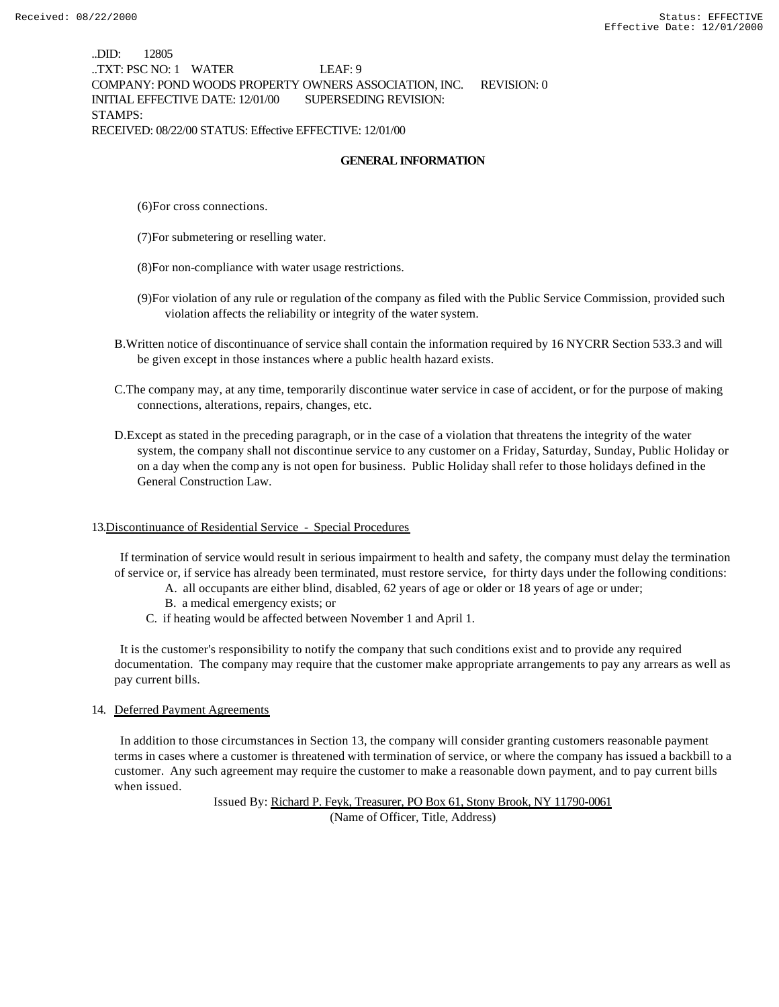..DID: 12805 ..TXT: PSC NO: 1 WATER LEAF: 9 COMPANY: POND WOODS PROPERTY OWNERS ASSOCIATION, INC. REVISION: 0 INITIAL EFFECTIVE DATE: 12/01/00 SUPERSEDING REVISION: STAMPS: RECEIVED: 08/22/00 STATUS: Effective EFFECTIVE: 12/01/00

### **GENERAL INFORMATION**

(6)For cross connections.

- (7)For submetering or reselling water.
- (8)For non-compliance with water usage restrictions.
- (9)For violation of any rule or regulation of the company as filed with the Public Service Commission, provided such violation affects the reliability or integrity of the water system.
- B.Written notice of discontinuance of service shall contain the information required by 16 NYCRR Section 533.3 and will be given except in those instances where a public health hazard exists.
- C.The company may, at any time, temporarily discontinue water service in case of accident, or for the purpose of making connections, alterations, repairs, changes, etc.
- D.Except as stated in the preceding paragraph, or in the case of a violation that threatens the integrity of the water system, the company shall not discontinue service to any customer on a Friday, Saturday, Sunday, Public Holiday or on a day when the comp any is not open for business. Public Holiday shall refer to those holidays defined in the General Construction Law.

#### 13.Discontinuance of Residential Service - Special Procedures

 If termination of service would result in serious impairment to health and safety, the company must delay the termination of service or, if service has already been terminated, must restore service, for thirty days under the following conditions:

- A. all occupants are either blind, disabled, 62 years of age or older or 18 years of age or under;
- B. a medical emergency exists; or
- C. if heating would be affected between November 1 and April 1.

 It is the customer's responsibility to notify the company that such conditions exist and to provide any required documentation. The company may require that the customer make appropriate arrangements to pay any arrears as well as pay current bills.

#### 14. Deferred Payment Agreements

 In addition to those circumstances in Section 13, the company will consider granting customers reasonable payment terms in cases where a customer is threatened with termination of service, or where the company has issued a backbill to a customer. Any such agreement may require the customer to make a reasonable down payment, and to pay current bills when issued.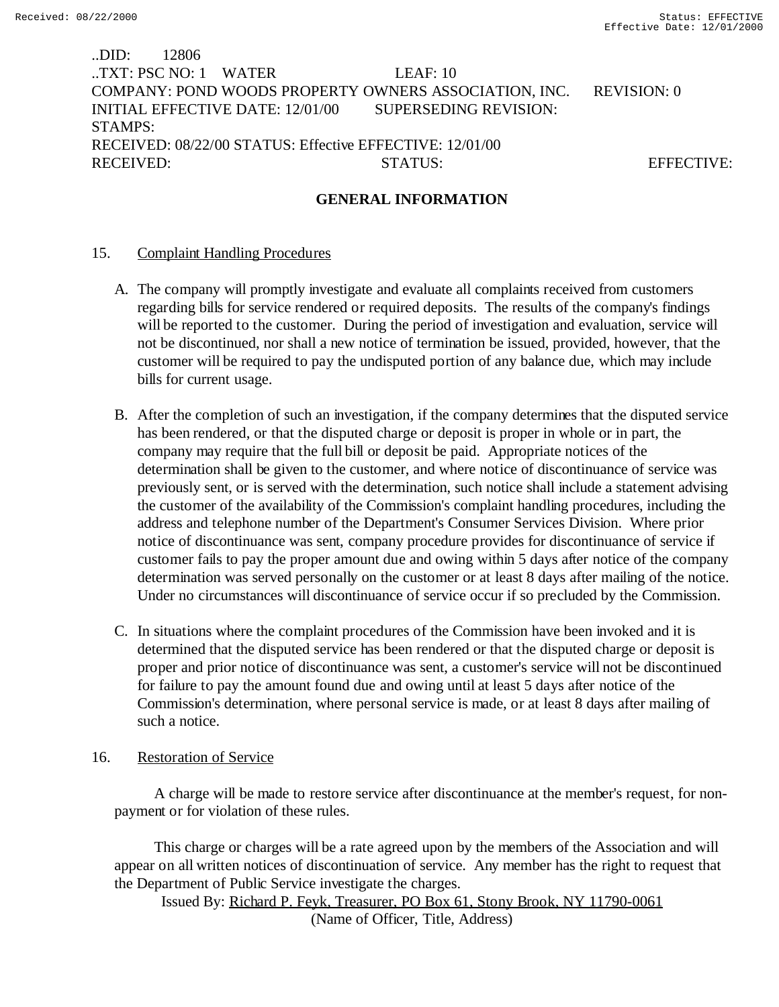# ..DID: 12806 ..TXT: PSC NO: 1 WATER LEAF: 10 COMPANY: POND WOODS PROPERTY OWNERS ASSOCIATION, INC. REVISION: 0 INITIAL EFFECTIVE DATE: 12/01/00 SUPERSEDING REVISION: STAMPS: RECEIVED: 08/22/00 STATUS: Effective EFFECTIVE: 12/01/00 RECEIVED: STATUS: STATUS: EFFECTIVE:

## **GENERAL INFORMATION**

### 15. Complaint Handling Procedures

- A. The company will promptly investigate and evaluate all complaints received from customers regarding bills for service rendered or required deposits. The results of the company's findings will be reported to the customer. During the period of investigation and evaluation, service will not be discontinued, nor shall a new notice of termination be issued, provided, however, that the customer will be required to pay the undisputed portion of any balance due, which may include bills for current usage.
- B. After the completion of such an investigation, if the company determines that the disputed service has been rendered, or that the disputed charge or deposit is proper in whole or in part, the company may require that the full bill or deposit be paid. Appropriate notices of the determination shall be given to the customer, and where notice of discontinuance of service was previously sent, or is served with the determination, such notice shall include a statement advising the customer of the availability of the Commission's complaint handling procedures, including the address and telephone number of the Department's Consumer Services Division. Where prior notice of discontinuance was sent, company procedure provides for discontinuance of service if customer fails to pay the proper amount due and owing within 5 days after notice of the company determination was served personally on the customer or at least 8 days after mailing of the notice. Under no circumstances will discontinuance of service occur if so precluded by the Commission.
- C. In situations where the complaint procedures of the Commission have been invoked and it is determined that the disputed service has been rendered or that the disputed charge or deposit is proper and prior notice of discontinuance was sent, a customer's service will not be discontinued for failure to pay the amount found due and owing until at least 5 days after notice of the Commission's determination, where personal service is made, or at least 8 days after mailing of such a notice.

## 16. Restoration of Service

 A charge will be made to restore service after discontinuance at the member's request, for nonpayment or for violation of these rules.

 This charge or charges will be a rate agreed upon by the members of the Association and will appear on all written notices of discontinuation of service. Any member has the right to request that the Department of Public Service investigate the charges.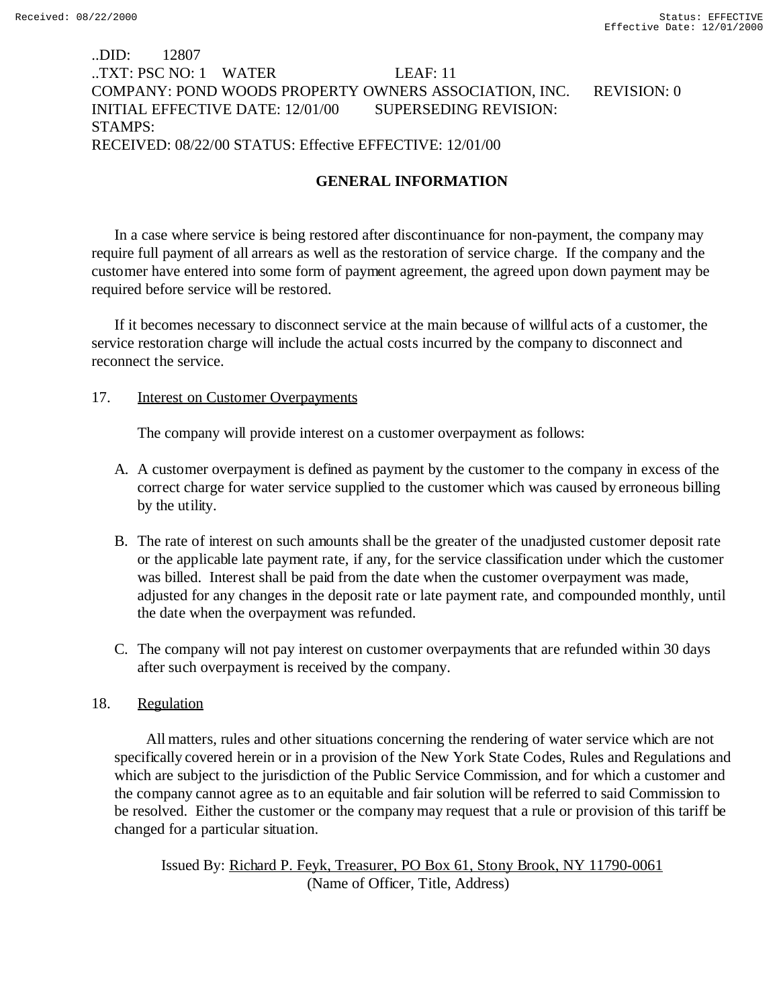# ..DID: 12807 ..TXT: PSC NO: 1 WATER LEAF: 11 COMPANY: POND WOODS PROPERTY OWNERS ASSOCIATION, INC. REVISION: 0 INITIAL EFFECTIVE DATE: 12/01/00 SUPERSEDING REVISION: STAMPS: RECEIVED: 08/22/00 STATUS: Effective EFFECTIVE: 12/01/00

# **GENERAL INFORMATION**

In a case where service is being restored after discontinuance for non-payment, the company may require full payment of all arrears as well as the restoration of service charge. If the company and the customer have entered into some form of payment agreement, the agreed upon down payment may be required before service will be restored.

If it becomes necessary to disconnect service at the main because of willful acts of a customer, the service restoration charge will include the actual costs incurred by the company to disconnect and reconnect the service.

### 17. Interest on Customer Overpayments

The company will provide interest on a customer overpayment as follows:

- A. A customer overpayment is defined as payment by the customer to the company in excess of the correct charge for water service supplied to the customer which was caused by erroneous billing by the utility.
- B. The rate of interest on such amounts shall be the greater of the unadjusted customer deposit rate or the applicable late payment rate, if any, for the service classification under which the customer was billed. Interest shall be paid from the date when the customer overpayment was made, adjusted for any changes in the deposit rate or late payment rate, and compounded monthly, until the date when the overpayment was refunded.
- C. The company will not pay interest on customer overpayments that are refunded within 30 days after such overpayment is received by the company.

### 18. Regulation

 All matters, rules and other situations concerning the rendering of water service which are not specifically covered herein or in a provision of the New York State Codes, Rules and Regulations and which are subject to the jurisdiction of the Public Service Commission, and for which a customer and the company cannot agree as to an equitable and fair solution will be referred to said Commission to be resolved. Either the customer or the company may request that a rule or provision of this tariff be changed for a particular situation.